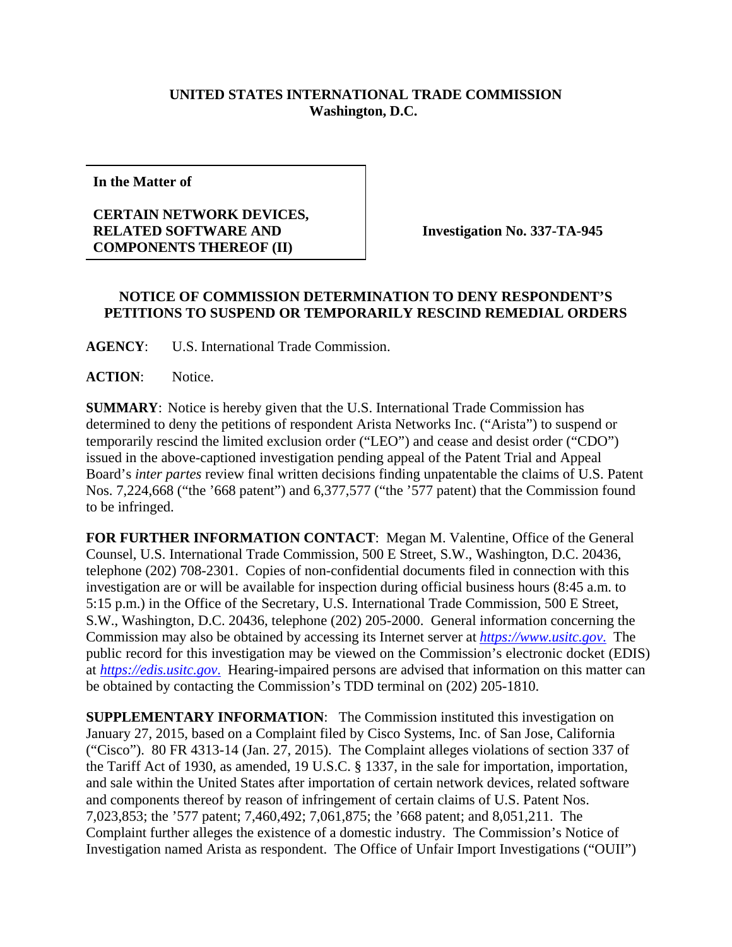## **UNITED STATES INTERNATIONAL TRADE COMMISSION Washington, D.C.**

**In the Matter of**

## **CERTAIN NETWORK DEVICES, RELATED SOFTWARE AND COMPONENTS THEREOF (II)**

**Investigation No. 337-TA-945**

## **NOTICE OF COMMISSION DETERMINATION TO DENY RESPONDENT'S PETITIONS TO SUSPEND OR TEMPORARILY RESCIND REMEDIAL ORDERS**

**AGENCY**: U.S. International Trade Commission.

**ACTION**: Notice.

**SUMMARY**: Notice is hereby given that the U.S. International Trade Commission has determined to deny the petitions of respondent Arista Networks Inc. ("Arista") to suspend or temporarily rescind the limited exclusion order ("LEO") and cease and desist order ("CDO") issued in the above-captioned investigation pending appeal of the Patent Trial and Appeal Board's *inter partes* review final written decisions finding unpatentable the claims of U.S. Patent Nos. 7,224,668 ("the '668 patent") and 6,377,577 ("the '577 patent) that the Commission found to be infringed.

**FOR FURTHER INFORMATION CONTACT**: Megan M. Valentine, Office of the General Counsel, U.S. International Trade Commission, 500 E Street, S.W., Washington, D.C. 20436, telephone (202) 708-2301. Copies of non-confidential documents filed in connection with this investigation are or will be available for inspection during official business hours (8:45 a.m. to 5:15 p.m.) in the Office of the Secretary, U.S. International Trade Commission, 500 E Street, S.W., Washington, D.C. 20436, telephone (202) 205-2000. General information concerning the Commission may also be obtained by accessing its Internet server at *https://www.usitc.gov*. The public record for this investigation may be viewed on the Commission's electronic docket (EDIS) at *https://edis.usitc.gov*. Hearing-impaired persons are advised that information on this matter can be obtained by contacting the Commission's TDD terminal on (202) 205-1810.

**SUPPLEMENTARY INFORMATION**: The Commission instituted this investigation on January 27, 2015, based on a Complaint filed by Cisco Systems, Inc. of San Jose, California ("Cisco"). 80 FR 4313-14 (Jan. 27, 2015). The Complaint alleges violations of section 337 of the Tariff Act of 1930, as amended, 19 U.S.C. § 1337, in the sale for importation, importation, and sale within the United States after importation of certain network devices, related software and components thereof by reason of infringement of certain claims of U.S. Patent Nos. 7,023,853; the '577 patent; 7,460,492; 7,061,875; the '668 patent; and 8,051,211. The Complaint further alleges the existence of a domestic industry. The Commission's Notice of Investigation named Arista as respondent. The Office of Unfair Import Investigations ("OUII")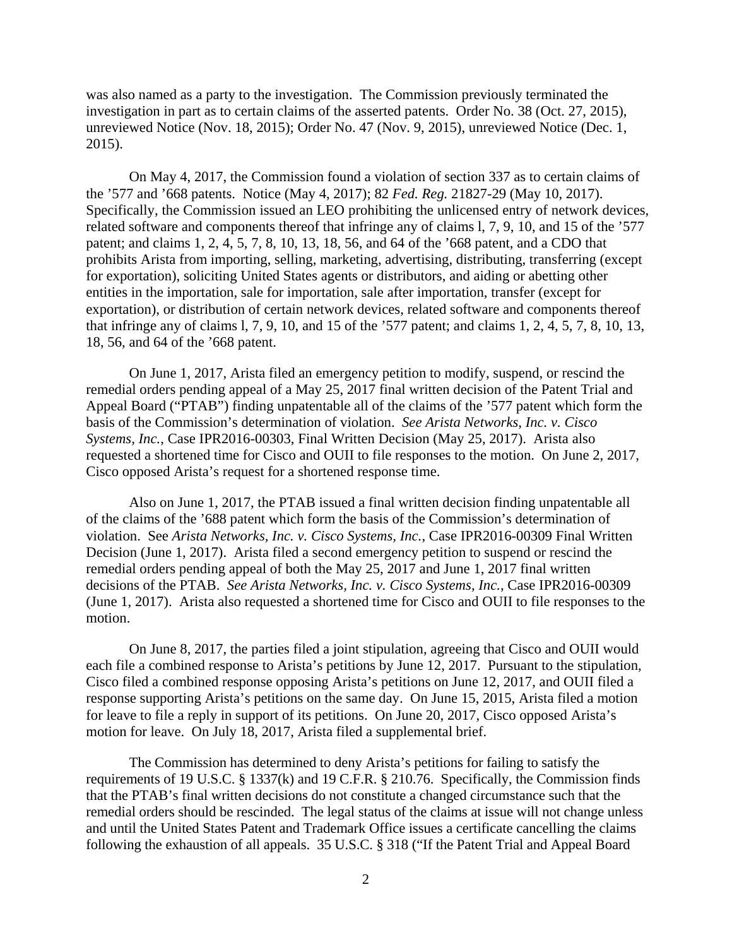was also named as a party to the investigation. The Commission previously terminated the investigation in part as to certain claims of the asserted patents. Order No. 38 (Oct. 27, 2015), unreviewed Notice (Nov. 18, 2015); Order No. 47 (Nov. 9, 2015), unreviewed Notice (Dec. 1, 2015).

On May 4, 2017, the Commission found a violation of section 337 as to certain claims of the '577 and '668 patents. Notice (May 4, 2017); 82 *Fed. Reg.* 21827-29 (May 10, 2017). Specifically, the Commission issued an LEO prohibiting the unlicensed entry of network devices, related software and components thereof that infringe any of claims l, 7, 9, 10, and 15 of the '577 patent; and claims 1, 2, 4, 5, 7, 8, 10, 13, 18, 56, and 64 of the '668 patent, and a CDO that prohibits Arista from importing, selling, marketing, advertising, distributing, transferring (except for exportation), soliciting United States agents or distributors, and aiding or abetting other entities in the importation, sale for importation, sale after importation, transfer (except for exportation), or distribution of certain network devices, related software and components thereof that infringe any of claims l, 7, 9, 10, and 15 of the '577 patent; and claims 1, 2, 4, 5, 7, 8, 10, 13, 18, 56, and 64 of the '668 patent.

On June 1, 2017, Arista filed an emergency petition to modify, suspend, or rescind the remedial orders pending appeal of a May 25, 2017 final written decision of the Patent Trial and Appeal Board ("PTAB") finding unpatentable all of the claims of the '577 patent which form the basis of the Commission's determination of violation. *See Arista Networks, Inc. v. Cisco Systems, Inc.*, Case IPR2016-00303, Final Written Decision (May 25, 2017). Arista also requested a shortened time for Cisco and OUII to file responses to the motion. On June 2, 2017, Cisco opposed Arista's request for a shortened response time.

Also on June 1, 2017, the PTAB issued a final written decision finding unpatentable all of the claims of the '688 patent which form the basis of the Commission's determination of violation. See *Arista Networks, Inc. v. Cisco Systems, Inc.*, Case IPR2016-00309 Final Written Decision (June 1, 2017). Arista filed a second emergency petition to suspend or rescind the remedial orders pending appeal of both the May 25, 2017 and June 1, 2017 final written decisions of the PTAB. *See Arista Networks, Inc. v. Cisco Systems, Inc.*, Case IPR2016-00309 (June 1, 2017). Arista also requested a shortened time for Cisco and OUII to file responses to the motion.

On June 8, 2017, the parties filed a joint stipulation, agreeing that Cisco and OUII would each file a combined response to Arista's petitions by June 12, 2017. Pursuant to the stipulation, Cisco filed a combined response opposing Arista's petitions on June 12, 2017, and OUII filed a response supporting Arista's petitions on the same day. On June 15, 2015, Arista filed a motion for leave to file a reply in support of its petitions. On June 20, 2017, Cisco opposed Arista's motion for leave. On July 18, 2017, Arista filed a supplemental brief.

The Commission has determined to deny Arista's petitions for failing to satisfy the requirements of 19 U.S.C. § 1337(k) and 19 C.F.R. § 210.76. Specifically, the Commission finds that the PTAB's final written decisions do not constitute a changed circumstance such that the remedial orders should be rescinded. The legal status of the claims at issue will not change unless and until the United States Patent and Trademark Office issues a certificate cancelling the claims following the exhaustion of all appeals. 35 U.S.C. § 318 ("If the Patent Trial and Appeal Board